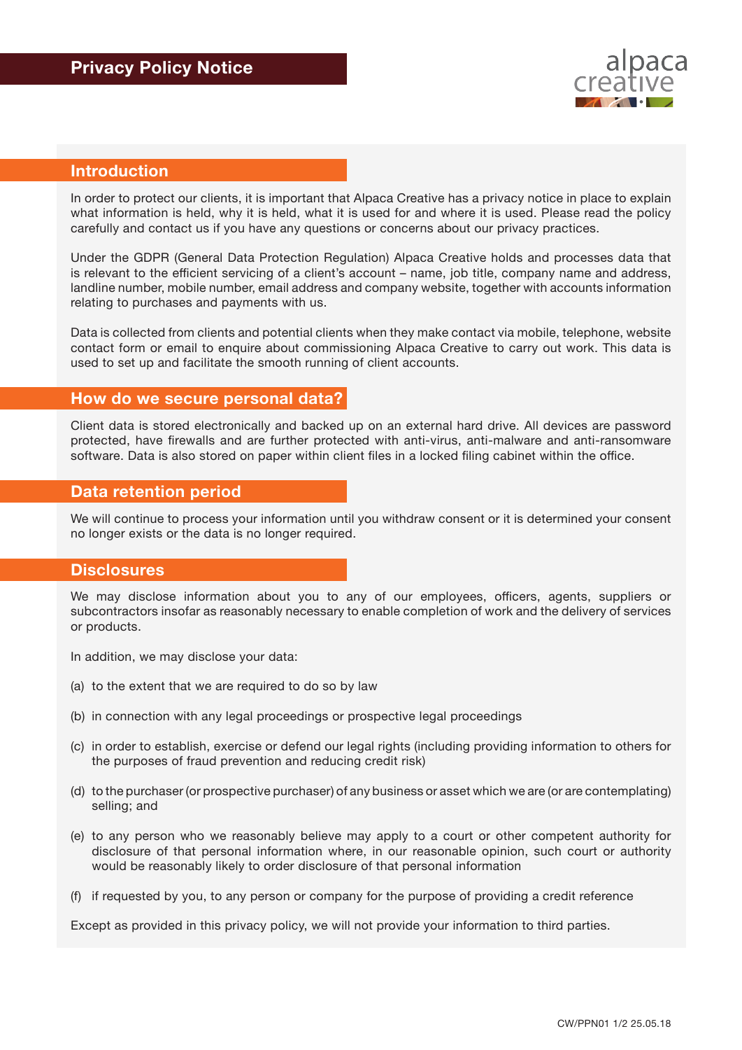

# **Introduction**

In order to protect our clients, it is important that Alpaca Creative has a privacy notice in place to explain what information is held, why it is held, what it is used for and where it is used. Please read the policy carefully and contact us if you have any questions or concerns about our privacy practices.

Under the GDPR (General Data Protection Regulation) Alpaca Creative holds and processes data that is relevant to the efficient servicing of a client's account – name, job title, company name and address, landline number, mobile number, email address and company website, together with accounts information relating to purchases and payments with us.

Data is collected from clients and potential clients when they make contact via mobile, telephone, website contact form or email to enquire about commissioning Alpaca Creative to carry out work. This data is used to set up and facilitate the smooth running of client accounts.

#### **How do we secure personal data?**

Client data is stored electronically and backed up on an external hard drive. All devices are password protected, have firewalls and are further protected with anti-virus, anti-malware and anti-ransomware software. Data is also stored on paper within client files in a locked filing cabinet within the office.

### **Data retention period**

We will continue to process your information until you withdraw consent or it is determined your consent no longer exists or the data is no longer required.

#### **Disclosures**

We may disclose information about you to any of our employees, officers, agents, suppliers or subcontractors insofar as reasonably necessary to enable completion of work and the delivery of services or products.

In addition, we may disclose your data:

- (a) to the extent that we are required to do so by law
- (b) in connection with any legal proceedings or prospective legal proceedings
- (c) in order to establish, exercise or defend our legal rights (including providing information to others for the purposes of fraud prevention and reducing credit risk)
- (d) to the purchaser (or prospective purchaser) of any business or asset which we are (or are contemplating) selling; and
- (e) to any person who we reasonably believe may apply to a court or other competent authority for disclosure of that personal information where, in our reasonable opinion, such court or authority would be reasonably likely to order disclosure of that personal information
- (f) if requested by you, to any person or company for the purpose of providing a credit reference

Except as provided in this privacy policy, we will not provide your information to third parties.